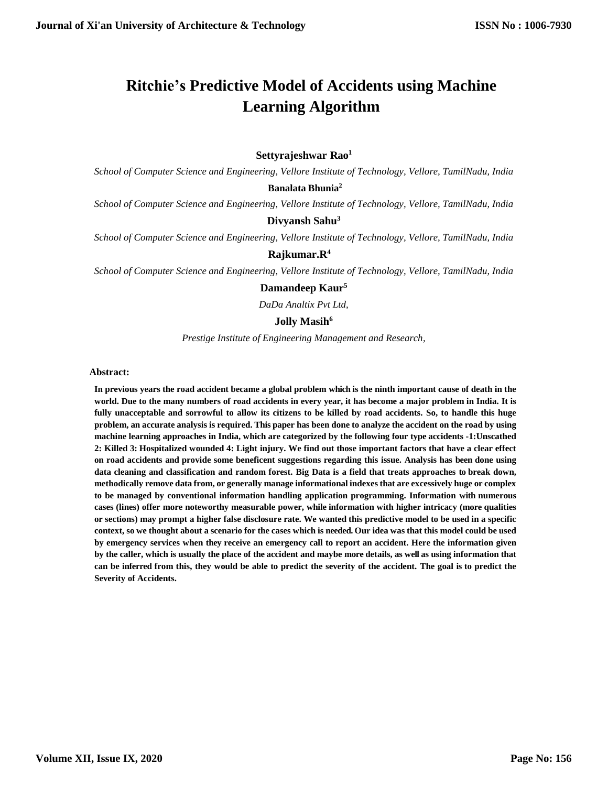# **Ritchie's Predictive Model of Accidents using Machine Learning Algorithm**

## **Settyrajeshwar Rao<sup>1</sup>**

*School of Computer Science and Engineering, Vellore Institute of Technology, Vellore, TamilNadu, India*

### **[B](mailto:Email-%20%20%20lavanyabandla7@gmail.com)analata Bhunia<sup>2</sup>**

*School of Computer Science and Engineering, Vellore Institute of Technology, Vellore, TamilNadu, India*

## **Divyansh Sahu<sup>3</sup>**

*School of Computer Science and Engineering, Vellore Institute of Technology, Vellore, TamilNadu, India*

#### **Rajkumar.R<sup>4</sup>**

*School of Computer Science and Engineering, Vellore Institute of Technology, Vellore, TamilNadu, India*

#### **Damandeep Kaur<sup>5</sup>**

*DaDa Analtix Pvt Ltd,*

#### **Jolly Masih<sup>6</sup>**

*Prestige Institute of Engineering Management and Research,*

#### **Abstract:**

**In previous years the road accident became a global problem which is the ninth important cause of death in the world. Due to the many numbers of road accidents in every year, it has become a major problem in India. It is fully unacceptable and sorrowful to allow its citizens to be killed by road accidents. So, to handle this huge problem, an accurate analysis is required. This paper has been done to analyze the accident on the road by using machine learning approaches in India, which are categorized by the following four type accidents -1:Unscathed 2: Killed 3: Hospitalized wounded 4: Light injury. We find out those important factors that have a clear effect on road accidents and provide some beneficent suggestions regarding this issue. Analysis has been done using data cleaning and classification and random forest. Big Data is a field that treats approaches to break down, methodically remove data from, or generally manage informational indexes that are excessively huge or complex to be managed by conventional information handling application programming. Information with numerous cases (lines) offer more noteworthy measurable power, while information with higher intricacy (more qualities or sections) may prompt a higher false disclosure rate. We wanted this predictive model to be used in a specific context, so we thought about a scenario for the cases which is needed. Our idea was that this model could be used by emergency services when they receive an emergency call to report an accident. Here the information given by the caller, which is usually the place of the accident and maybe more details, as well as using information that can be inferred from this, they would be able to predict the severity of the accident. The goal is to predict the Severity of Accidents.**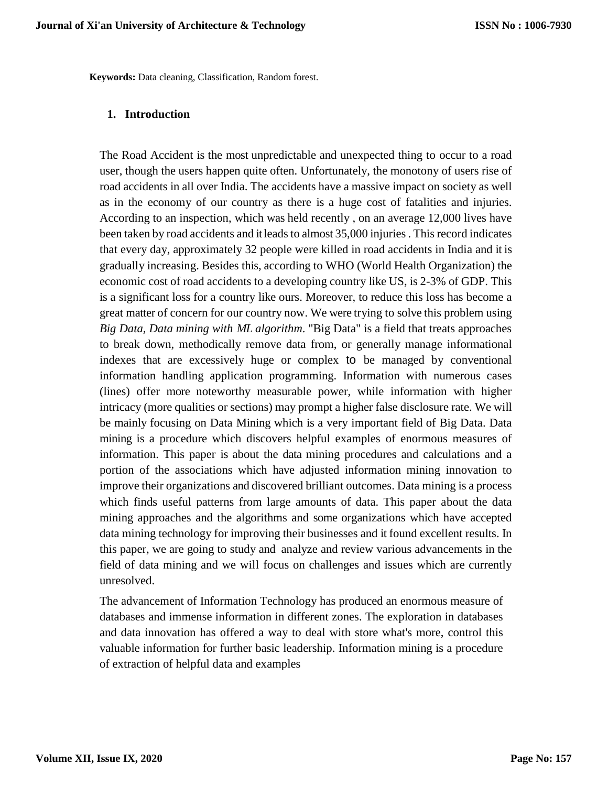**Keywords:** Data cleaning, Classification, Random forest.

#### **1. Introduction**

The Road Accident is the most unpredictable and unexpected thing to occur to a road user, though the users happen quite often. Unfortunately, the monotony of users rise of road accidents in all over India. The accidents have a massive impact on society as well as in the economy of our country as there is a huge cost of fatalities and injuries. According to an inspection, which was held recently , on an average 12,000 lives have been taken by road accidents and it leads to almost 35,000 injuries . This record indicates that every day, approximately 32 people were killed in road accidents in India and it is gradually increasing. Besides this, according to WHO (World Health Organization) the economic cost of road accidents to a developing country like US, is 2-3% of GDP. This is a significant loss for a country like ours. Moreover, to reduce this loss has become a great matter of concern for our country now. We were trying to solve this problem using *Big Data, Data mining with ML algorithm*. "Big Data" is a field that treats approaches to break down, methodically remove data from, or generally manage informational indexes that are excessively huge or complex to be managed by conventional information handling application programming. Information with numerous cases (lines) offer more noteworthy measurable power, while information with higher intricacy (more qualities or sections) may prompt a higher false disclosure rate. We will be mainly focusing on Data Mining which is a very important field of Big Data. Data mining is a procedure which discovers helpful examples of enormous measures of information. This paper is about the data mining procedures and calculations and a portion of the associations which have adjusted information mining innovation to improve their organizations and discovered brilliant outcomes. Data mining is a process which finds useful patterns from large amounts of data. This paper about the data mining approaches and the algorithms and some organizations which have accepted data mining technology for improving their businesses and it found excellent results. In this paper, we are going to study and analyze and review various advancements in the field of data mining and we will focus on challenges and issues which are currently unresolved.

The advancement of Information Technology has produced an enormous measure of databases and immense information in different zones. The exploration in databases and data innovation has offered a way to deal with store what's more, control this valuable information for further basic leadership. Information mining is a procedure of extraction of helpful data and examples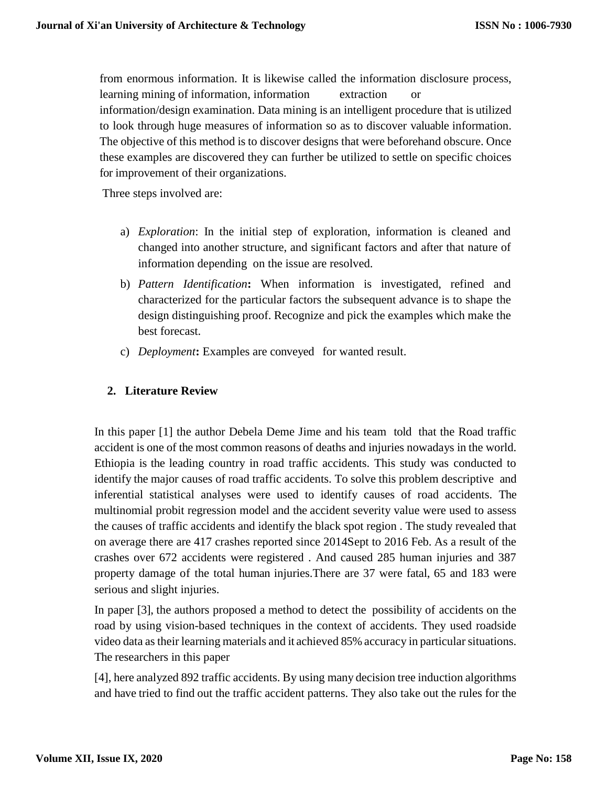from enormous information. It is likewise called the information disclosure process, learning mining of information, information extraction or information/design examination. Data mining is an intelligent procedure that is utilized to look through huge measures of information so as to discover valuable information. The objective of this method is to discover designs that were beforehand obscure. Once these examples are discovered they can further be utilized to settle on specific choices for improvement of their organizations.

Three steps involved are:

- a) *Exploration*: In the initial step of exploration, information is cleaned and changed into another structure, and significant factors and after that nature of information depending on the issue are resolved.
- b) *Pattern Identification***:** When information is investigated, refined and characterized for the particular factors the subsequent advance is to shape the design distinguishing proof. Recognize and pick the examples which make the best forecast.
- c) *Deployment***:** Examples are conveyed for wanted result.

## **2. Literature Review**

In this paper [1] the author Debela Deme Jime and his team told that the Road traffic accident is one of the most common reasons of deaths and injuries nowadays in the world. Ethiopia is the leading country in road traffic accidents. This study was conducted to identify the major causes of road traffic accidents. To solve this problem descriptive and inferential statistical analyses were used to identify causes of road accidents. The multinomial probit regression model and the accident severity value were used to assess the causes of traffic accidents and identify the black spot region . The study revealed that on average there are 417 crashes reported since 2014Sept to 2016 Feb. As a result of the crashes over 672 accidents were registered . And caused 285 human injuries and 387 property damage of the total human injuries.There are 37 were fatal, 65 and 183 were serious and slight injuries.

In paper [3], the authors proposed a method to detect the possibility of accidents on the road by using vision-based techniques in the context of accidents. They used roadside video data as their learning materials and it achieved 85% accuracy in particular situations. The researchers in this paper

[4], here analyzed 892 traffic accidents. By using many decision tree induction algorithms and have tried to find out the traffic accident patterns. They also take out the rules for the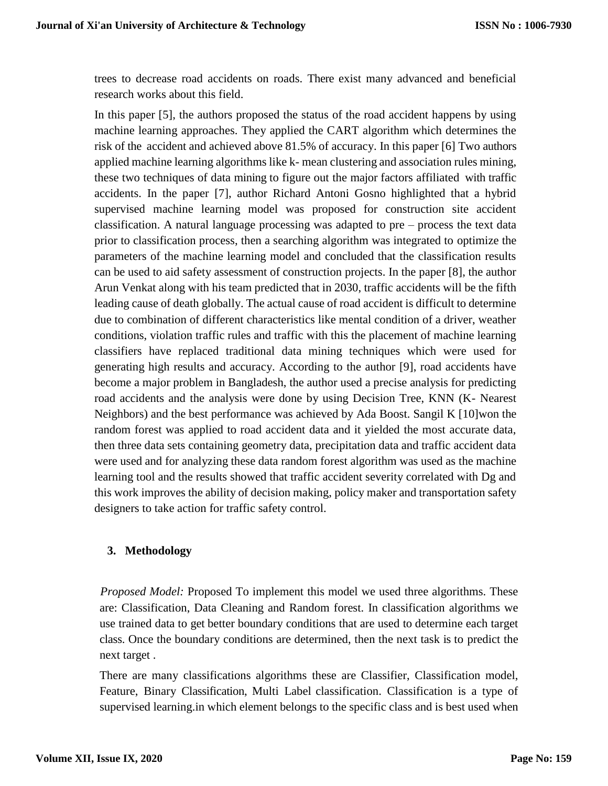trees to decrease road accidents on roads. There exist many advanced and beneficial research works about this field.

In this paper [5], the authors proposed the status of the road accident happens by using machine learning approaches. They applied the CART algorithm which determines the risk of the accident and achieved above 81.5% of accuracy. In this paper [6] Two authors applied machine learning algorithms like k- mean clustering and association rules mining, these two techniques of data mining to figure out the major factors affiliated with traffic accidents. In the paper [7], author Richard Antoni Gosno highlighted that a hybrid supervised machine learning model was proposed for construction site accident classification. A natural language processing was adapted to pre – process the text data prior to classification process, then a searching algorithm was integrated to optimize the parameters of the machine learning model and concluded that the classification results can be used to aid safety assessment of construction projects. In the paper [8], the author Arun Venkat along with his team predicted that in 2030, traffic accidents will be the fifth leading cause of death globally. The actual cause of road accident is difficult to determine due to combination of different characteristics like mental condition of a driver, weather conditions, violation traffic rules and traffic with this the placement of machine learning classifiers have replaced traditional data mining techniques which were used for generating high results and accuracy. According to the author [9], road accidents have become a major problem in Bangladesh, the author used a precise analysis for predicting road accidents and the analysis were done by using Decision Tree, KNN (K- Nearest Neighbors) and the best performance was achieved by Ada Boost. Sangil K [10]won the random forest was applied to road accident data and it yielded the most accurate data, then three data sets containing geometry data, precipitation data and traffic accident data were used and for analyzing these data random forest algorithm was used as the machine learning tool and the results showed that traffic accident severity correlated with Dg and this work improves the ability of decision making, policy maker and transportation safety designers to take action for traffic safety control.

## **3. Methodology**

*Proposed Model:* Proposed To implement this model we used three algorithms. These are: Classification, Data Cleaning and Random forest. In classification algorithms we use trained data to get better boundary conditions that are used to determine each target class. Once the boundary conditions are determined, then the next task is to predict the next target .

There are many classifications algorithms these are Classifier, Classification model, Feature, Binary Classification, Multi Label classification. Classification is a type of supervised learning.in which element belongs to the specific class and is best used when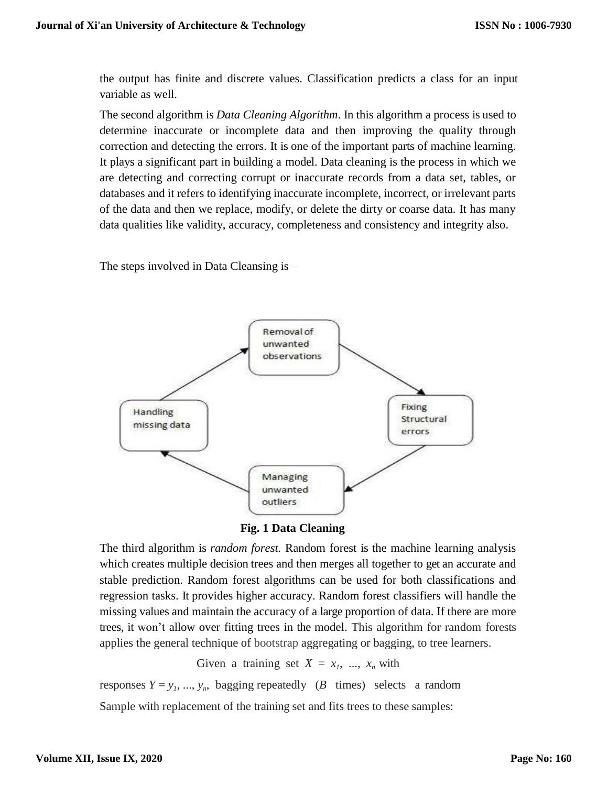the output has finite and discrete values. Classification predicts a class for an input variable as well.

The second algorithm is *Data Cleaning Algorithm*. In this algorithm a process is used to determine inaccurate or incomplete data and then improving the quality through correction and detecting the errors. It is one of the important parts of machine learning. It plays a significant part in building a model. Data cleaning is the process in which we are detecting and correcting corrupt or inaccurate records from a data set, tables, or databases and it refers to identifying inaccurate incomplete, incorrect, or irrelevant parts of the data and then we replace, modify, or delete the dirty or coarse data. It has many data qualities like validity, accuracy, completeness and consistency and integrity also.

The steps involved in Data Cleansing is –



 **Fig. 1 Data Cleaning**

The third algorithm is *random forest.* Random forest is the machine learning analysis which creates multiple decision trees and then merges all together to get an accurate and stable prediction. Random forest algorithms can be used for both classifications and regression tasks. It provides higher accuracy. Random forest classifiers will handle the missing values and maintain the accuracy of a large proportion of data. If there are more trees, it won't allow over fitting trees in the model. This algorithm for random forests applies the general technique of [bootstrap](https://en.wikipedia.org/wiki/Bootstrap_aggregating) aggregating or bagging, to tree learners.

Given a training set  $X = x_1, \ldots, x_n$  with

responses  $Y = y_1, ..., y_n$ , bagging repeatedly (*B* times) selects a random Sample with replacement of the training set and fits trees to these samples: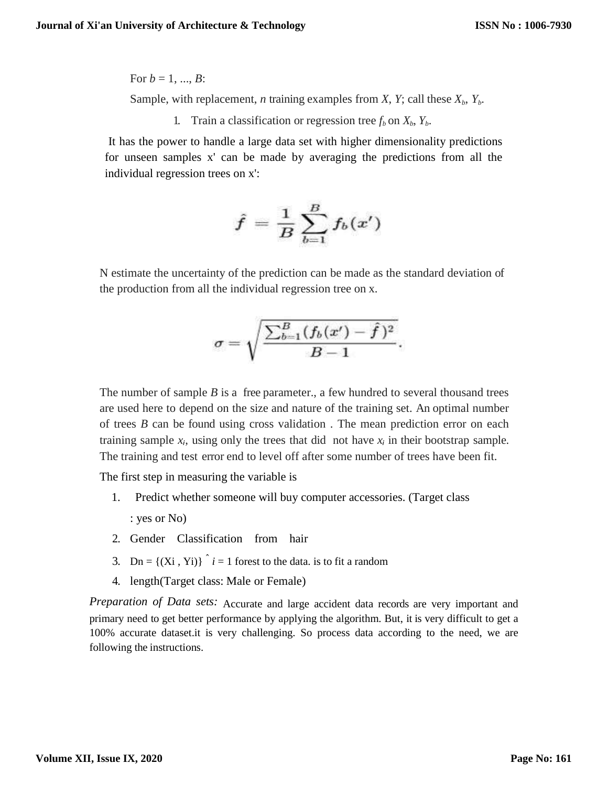For  $b = 1, ..., B$ : Sample, with replacement, *n* training examples from *X*, *Y*; call these  $X_b$ ,  $Y_b$ .

1. Train a classification or regression tree  $f_b$  on  $X_b$ ,  $Y_b$ .

It has the power to handle a large data set with higher dimensionality predictions for unseen samples x' can be made by averaging the predictions from all the individual regression trees on x':

$$
\hat{f} = \frac{1}{B}\sum_{b=1}^B f_b(x')
$$

N estimate the uncertainty of the prediction can be made as the standard deviation of the production from all the individual regression tree on x.

$$
\sigma=\sqrt{\frac{\sum_{b=1}^B(f_b(x')-\hat{f}\,)^2}{B-1}}.
$$

The number of sample  $B$  is a free parameter., a few hundred to several thousand trees are used here to depend on the size and nature of the training set. An optimal number of trees *B* can be found using cross validation . The mean prediction error on each training sample  $x_i$ , using only the trees that did not have  $x_i$  in their bootstrap sample. The training and test error end to level off after some number of trees have been fit.

The first step in measuring the variable is

- 1. Predict whether someone will buy computer accessories. (Target class : yes or No)
- 2. Gender Classification from hair
- 3. Dn =  $\{(Xi, Yi)\}\hat{i} = 1$  forest to the data. is to fit a random
- 4. length(Target class: Male or Female)

*Preparation of Data sets:* Accurate and large accident data records are very important and primary need to get better performance by applying the algorithm. But, it is very difficult to get a 100% accurate dataset.it is very challenging. So process data according to the need, we are following the instructions.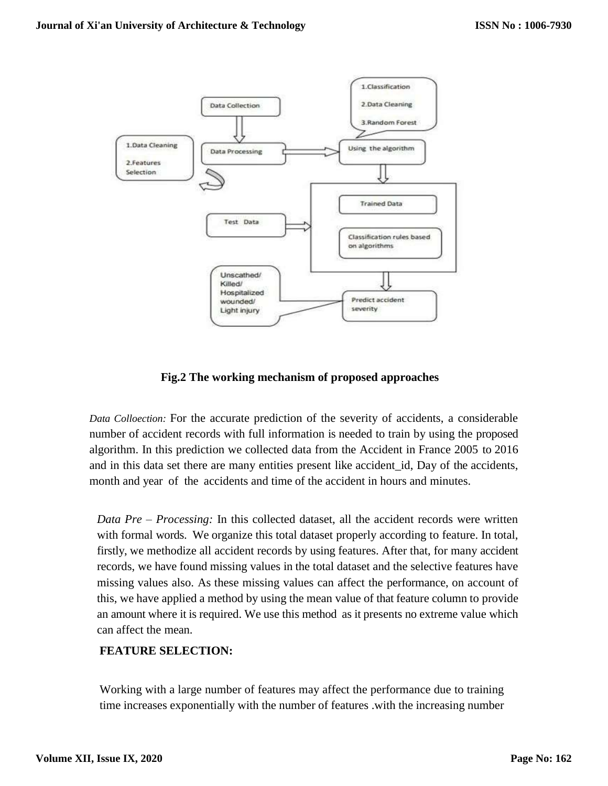

**Fig.2 The working mechanism of proposed approaches**

*Data Colloection:* For the accurate prediction of the severity of accidents, a considerable number of accident records with full information is needed to train by using the proposed algorithm. In this prediction we collected data from the Accident in France 2005 to 2016 and in this data set there are many entities present like accident\_id, Day of the accidents, month and year of the accidents and time of the accident in hours and minutes.

*Data Pre – Processing:* In this collected dataset, all the accident records were written with formal words. We organize this total dataset properly according to feature. In total, firstly, we methodize all accident records by using features. After that, for many accident records, we have found missing values in the total dataset and the selective features have missing values also. As these missing values can affect the performance, on account of this, we have applied a method by using the mean value of that feature column to provide an amount where it is required. We use this method as it presents no extreme value which can affect the mean.

## **FEATURE SELECTION:**

Working with a large number of features may affect the performance due to training time increases exponentially with the number of features .with the increasing number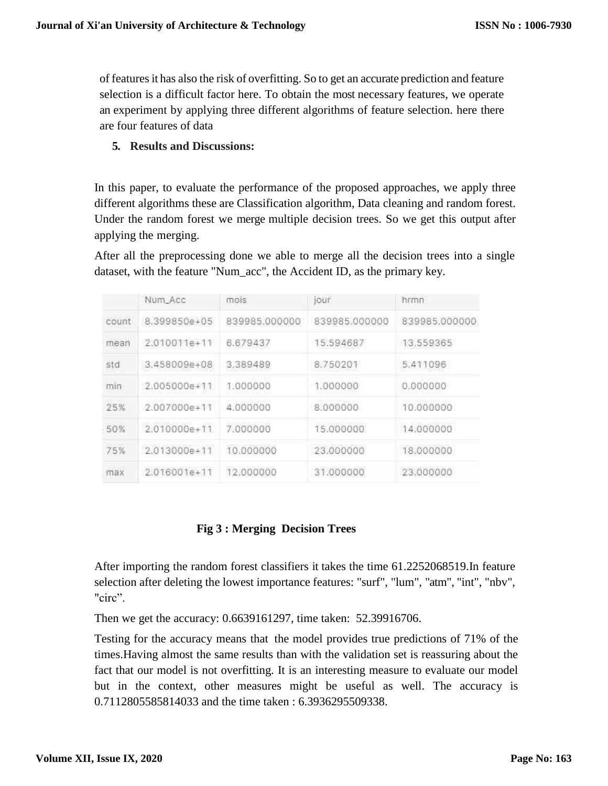of features it has also the risk of overfitting. So to get an accurate prediction and feature selection is a difficult factor here. To obtain the most necessary features, we operate an experiment by applying three different algorithms of feature selection. here there are four features of data

## **5. Results and Discussions:**

In this paper, to evaluate the performance of the proposed approaches, we apply three different algorithms these are Classification algorithm, Data cleaning and random forest. Under the random forest we merge multiple decision trees. So we get this output after applying the merging.

After all the preprocessing done we able to merge all the decision trees into a single dataset, with the feature "Num\_acc", the Accident ID, as the primary key.

|       | Num Acc          | mois          | jour          | hrmn          |
|-------|------------------|---------------|---------------|---------------|
| count | 8.399850e+05     | 839985.000000 | 839985,000000 | 839985.000000 |
| mean  | 2.010011e+11     | 6.679437      | 15.594687     | 13.559365     |
| std   | 3.458009e+08     | 3,389489      | 8,750201      | 5,411096      |
| min   | 2.005000e+11     | 1,000000      | 1.000000      | 0.000000      |
| 25%   | $2.007000a + 11$ | 4.000000      | 8.000000      | 10.000000     |
| 50%   | 2.010000e+11     | 7.000000      | 15,000000     | 14.000000     |
| 75%   | 2.013000e+11     | 10,000000     | 23,000000     | 18,000000     |
| max   | 2.016001e+11     | 12.000000     | 31.000000     | 23,000000     |

## **Fig 3 : Merging Decision Trees**

After importing the random forest classifiers it takes the time 61.2252068519.In feature selection after deleting the lowest importance features: "surf", "lum", "atm", "int", "nbv", "circ".

Then we get the accuracy: 0.6639161297, time taken: 52.39916706.

Testing for the accuracy means that the model provides true predictions of 71% of the times.Having almost the same results than with the validation set is reassuring about the fact that our model is not overfitting. It is an interesting measure to evaluate our model but in the context, other measures might be useful as well. The accuracy is 0.7112805585814033 and the time taken : 6.3936295509338.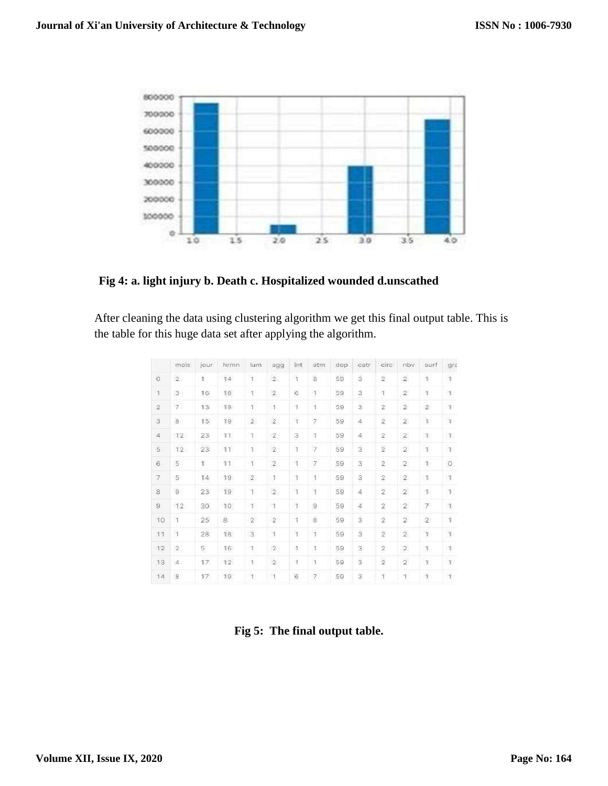

**Fig 4: a. light injury b. Death c. Hospitalized wounded d.unscathed**

After cleaning the data using clustering algorithm we get this final output table. This is the table for this huge data set after applying the algorithm.

|                 | mois                      | jour            | hrmn            | lum                       | agg            | int                     | atm.                     | dep | catr                    | circ             | nbv            | surf                  | gra               |
|-----------------|---------------------------|-----------------|-----------------|---------------------------|----------------|-------------------------|--------------------------|-----|-------------------------|------------------|----------------|-----------------------|-------------------|
| $\ddot{\rm{o}}$ | $\bar{2}$                 | ï               | 14 <sup>1</sup> | Ť.                        | $\bar{2}$      | $\mathbf{1}$            | 8                        | 59  | ä                       | $\overline{2}$   | $\bar{2}$      | $\overline{1}$        | $\mathbf{1}$      |
| $\eta$          | $\ensuremath{\mathsf{3}}$ | 16              | 18              | $\top$                    | $\sqrt{2}$     | ô                       | $\,$ $\,$                | 59  | 3                       | $\mathbb{I}$     | $\hat{Z}$      | 11                    | $-1$              |
| $\overline{2}$  | 7.                        | 13              | 19              | $\overline{1}$            | $\overline{1}$ | $\mathcal{I}$           | $\mathbf 1$              | 59  | $\overline{a}$          | $\overline{2}$   | $\overline{2}$ | $\mathcal{D}^{\circ}$ | $\mathbf{1}$      |
| $\overline{3}$  | $\overline{8}$            | 15              | 19              | $\mathbf{2}$              | $\bar{2}$      | $\tilde{1}$             | $\overline{\mathcal{I}}$ | 59  | 4                       | $\overline{2}$   | $\bar{2}$      | $\mathbbm{1}$         | $\,$ 1            |
| $\ddot{4}$      | 12                        | 23              | 11              | $\mathbb T$               | $\mathbf{2}$   | 3                       | $\boldsymbol{1}$         | 59  | 4                       | 2                | $\mathbf{2}$   | T                     | $ 1\rangle$       |
| $\bar{5}$       | 12                        | 23 <sub>1</sub> | 11.1            | 1                         | $\mathbf{z}$   | $\overline{\mathbf{1}}$ | $\overline{z}$           | 59  | $\overline{\mathbf{3}}$ | $\overline{2}$   | $\hat{2}$      | T                     | $\mathbf{T}$      |
| $\hat{6}$       | $\overline{5}$            | Ť.              | 11              | $\mathbf{1}$              | $\overline{2}$ | 1                       | $\overline{\gamma}$      | 59  | 3                       | $\hat{Z}$        | $\overline{2}$ | 11                    | $\circ$           |
| 7               | 5.                        | 14              | 19              | $\mathbb{Z}$              | 1              | 1                       | H.                       | 59  | 3                       | $\mathbf{2}$     | $\mathbf{2}$   | $\mathbb{I}$          | $\mathbb{I}$      |
| $\overline{8}$  | $\mathsf{G}$              | 23 <sub>1</sub> | 19              | $\uparrow$                | $\bar{2}$      | $\bar{1}$               | $\bar{1}$                | 59  | $\frac{1}{2}$           | $\bar{2}$        | $\overline{2}$ | $\overline{1}$        | $\mathbf{1}$      |
| $\mathcal{Q}$   | 12                        | $30\,$          | $10^{\circ}$    | $\uparrow$                | $\alpha$       | $\,$ 1                  | $\mathcal{Q}$            | 59  | 4                       | $\overline{2}$   | $\hat{Z}$      | $7^{\circ}$           | $\tau$            |
| 10              | $\overline{1}$            | 25 <sub>2</sub> | 8               | $\mathbf{2}$              | $\overline{2}$ | $\overline{1}$          | $\overline{\mathbf{8}}$  | 59  | $\overline{\mathbf{3}}$ | $\overline{2}$   | $\overline{2}$ | $\mathcal{D}^{\circ}$ | $\mathbf{1}$      |
| 11              | $\mathbf 1$               | 28              | 18.             | $\ensuremath{\mathsf{3}}$ | $\mathbf 1$    | $\mathfrak{t}$          | Ï                        | 59  | š                       | $\bar{2}$        | $\bar{2}$      | $\,1\,$               | $\,$ 1            |
| $12\,$          | $\overline{2}$            | 5               | 16              | $\mathcal{A}$             | $\mathbf{2}$   | $\boldsymbol{1}$        | $\boldsymbol{1}$         | 59  | 3                       | $\boldsymbol{2}$ | $\mathbf{2}$   | $\mathcal{L}$         | $\vert 1 \rangle$ |
| 13              | $\mathbf{4}$              | 17              | 12.             | 1                         | $\bar{2}$      | $\mathbf{1}$            | $\overline{1}$           | 59  | ś                       | $\frac{1}{2}$    | $\hat{2}$      | $\mathbf{I}$          | $\mathcal{T}$     |
| 14              | $\overline{8}$            | 17              | 19              | $\mathbf{1}$              | ñ              | $\hat{\mathbf{G}}$      | $\overline{\gamma}$      | 59  | ä.                      | $\uparrow$       | $\mathbb{T}$   | 1                     | $\mathbf{1}$      |

 **Fig 5: The final output table.**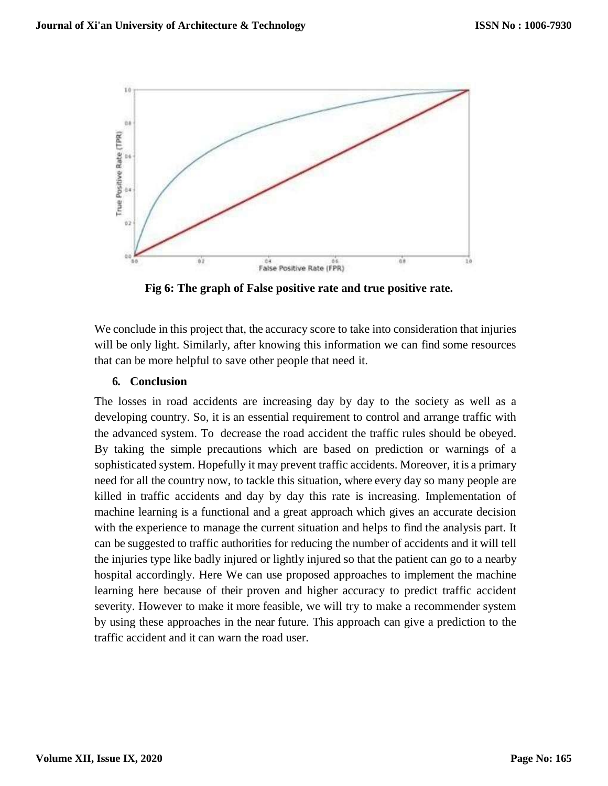

 **Fig 6: The graph of False positive rate and true positive rate.**

We conclude in this project that, the accuracy score to take into consideration that injuries will be only light. Similarly, after knowing this information we can find some resources that can be more helpful to save other people that need it.

## **6. Conclusion**

The losses in road accidents are increasing day by day to the society as well as a developing country. So, it is an essential requirement to control and arrange traffic with the advanced system. To decrease the road accident the traffic rules should be obeyed. By taking the simple precautions which are based on prediction or warnings of a sophisticated system. Hopefully it may prevent traffic accidents. Moreover, it is a primary need for all the country now, to tackle this situation, where every day so many people are killed in traffic accidents and day by day this rate is increasing. Implementation of machine learning is a functional and a great approach which gives an accurate decision with the experience to manage the current situation and helps to find the analysis part. It can be suggested to traffic authorities for reducing the number of accidents and it will tell the injuries type like badly injured or lightly injured so that the patient can go to a nearby hospital accordingly. Here We can use proposed approaches to implement the machine learning here because of their proven and higher accuracy to predict traffic accident severity. However to make it more feasible, we will try to make a recommender system by using these approaches in the near future. This approach can give a prediction to the traffic accident and it can warn the road user.